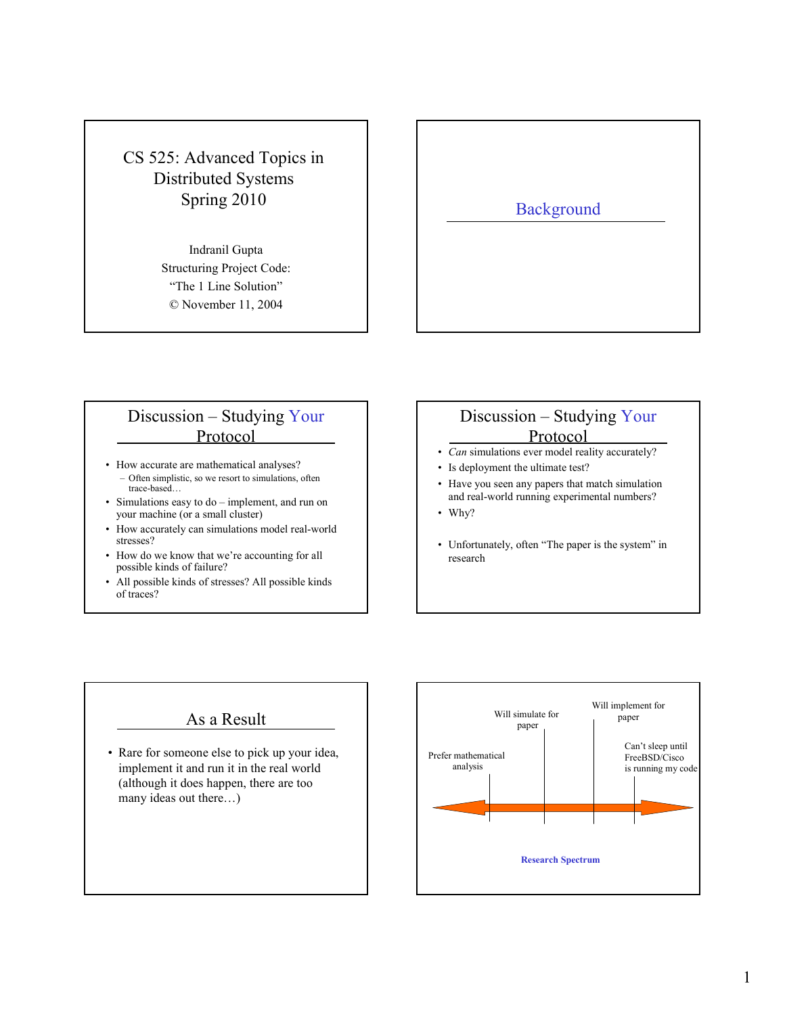## CS 525: Advanced Topics in Distributed Systems Spring 2010

Indranil Gupta Structuring Project Code: "The 1 Line Solution" © November 11, 2004

# **Background**

#### Discussion – Studying Your Protocol

- How accurate are mathematical analyses? – Often simplistic, so we resort to simulations, often trace-based…
- Simulations easy to do implement, and run on your machine (or a small cluster)
- How accurately can simulations model real-world stresses?
- How do we know that we're accounting for all possible kinds of failure?
- All possible kinds of stresses? All possible kinds of traces?

#### Discussion – Studying Your Protocol

- Can simulations ever model reality accurately?
- Is deployment the ultimate test?
- Have you seen any papers that match simulation and real-world running experimental numbers?
- Why?
- Unfortunately, often "The paper is the system" in research

#### As a Result

• Rare for someone else to pick up your idea, implement it and run it in the real world (although it does happen, there are too many ideas out there…)

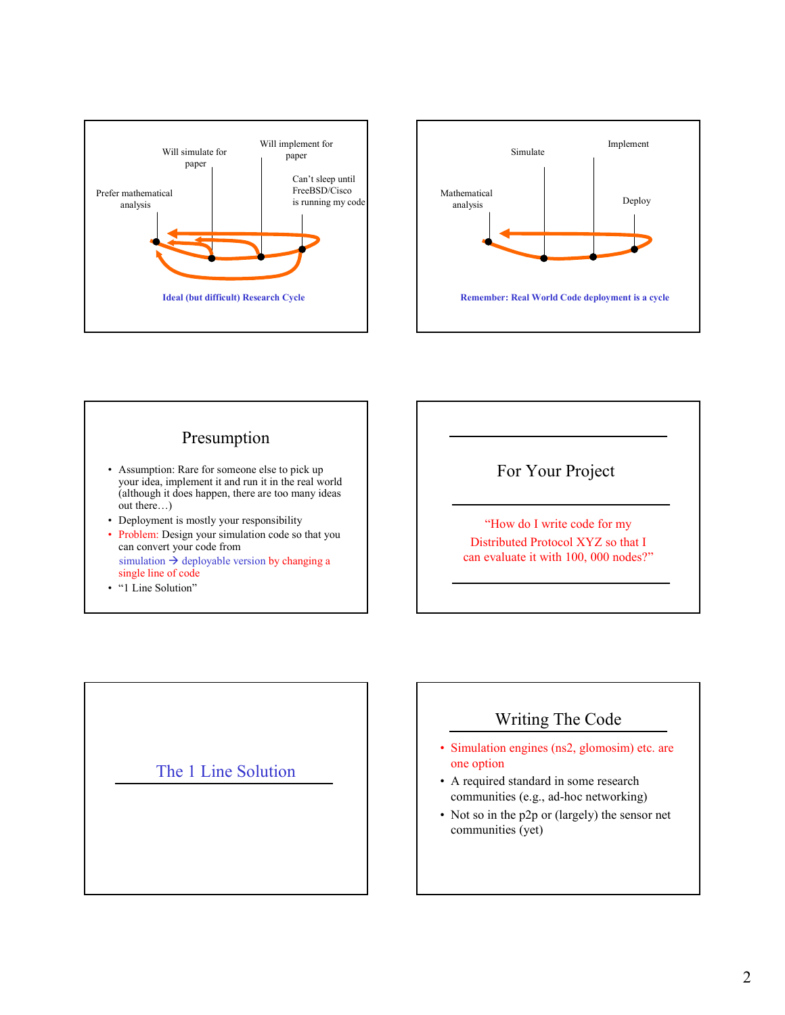







"How do I write code for my Distributed Protocol XYZ so that I can evaluate it with 100, 000 nodes?"

The 1 Line Solution

### Writing The Code

- Simulation engines (ns2, glomosim) etc. are one option
- A required standard in some research communities (e.g., ad-hoc networking)
- Not so in the p2p or (largely) the sensor net communities (yet)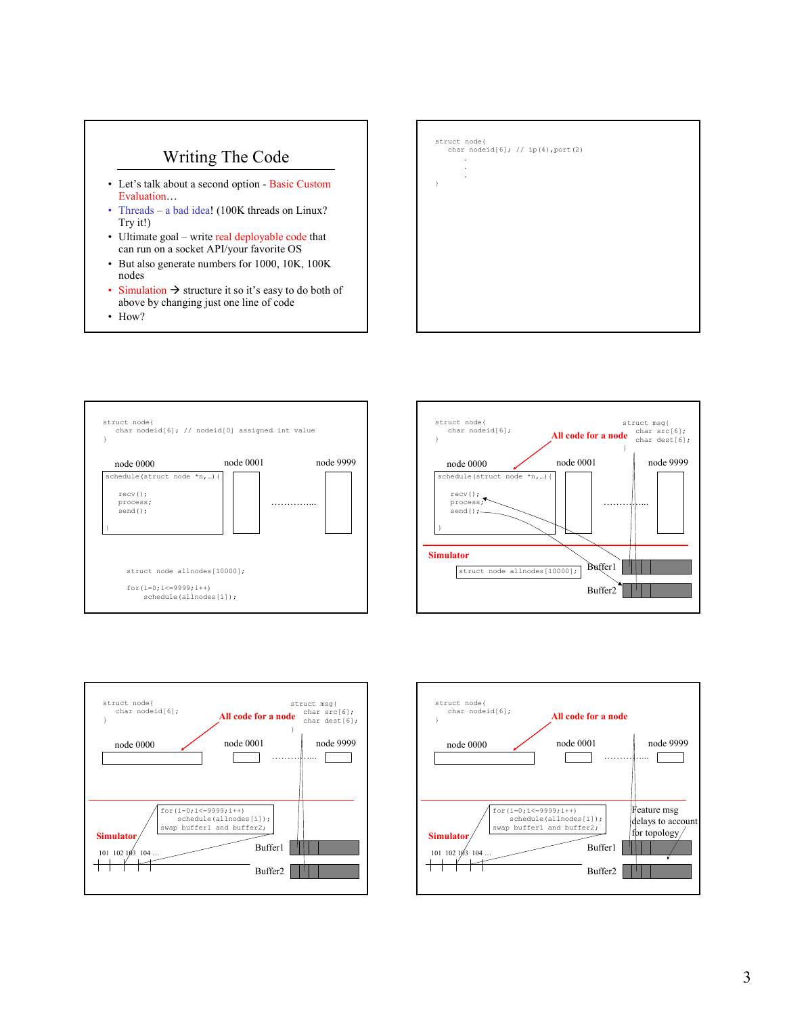## Writing The Code

- Let's talk about a second option Basic Custom Evaluation…
- Threads a bad idea! (100K threads on Linux? Try it!)
- Ultimate goal write real deployable code that can run on a socket API/your favorite OS
- But also generate numbers for 1000, 10K, 100K nodes
- Simulation  $\rightarrow$  structure it so it's easy to do both of above by changing just one line of code
- How?